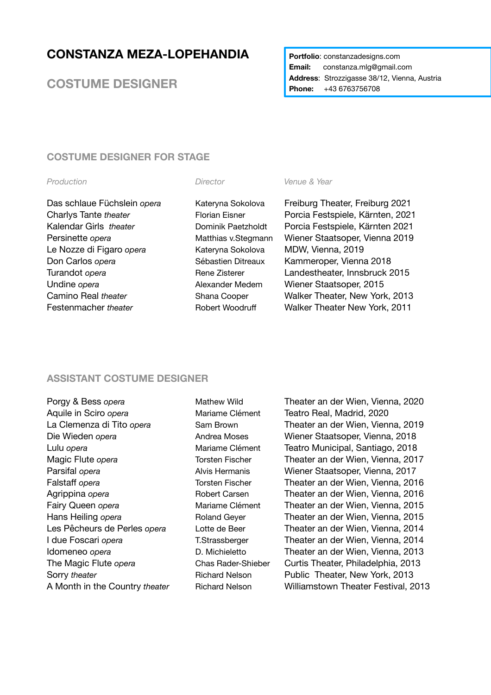# **CONSTANZA MEZA-LOPEHANDIA**

**COSTUME DESIGNER**

### **Portfolio: constanzadesigns.com Email:** constanza.mlg@gmail.com **Address**: Strozzigasse 38/12, Vienna, Austria **Phone:** +43 6763756708

# **COSTUME DESIGNER FOR STAGE**

#### *Production Director Venue & Year*

Le Nozze di Figaro *opera* Kateryna Sokolova MDW, Vienna, 2019 Don Carlos *opera* Sébastien Ditreaux Kammeroper, Vienna 2018 Undine *opera* **Alexander Medem** Wiener Staatsoper, 2015

Das schlaue Füchslein *opera* Kateryna Sokolova Freiburg Theater, Freiburg 2021 Charlys Tante *theater* Florian Eisner Porcia Festspiele, Kärnten, 2021 Kalendar Girls *theater* Dominik Paetzholdt Porcia Festspiele, Kärnten 2021 Persinette *opera* Matthias v.Stegmann Wiener Staatsoper, Vienna 2019 Turandot *opera* Turandot *opera* Rene Zisterer Landestheater, Innsbruck 2015 Camino Real *theater* Shana Cooper Walker Theater, New York, 2013 Festenmacher *theater* **Robert Woodruff** Walker Theater New York, 2011

# **ASSISTANT COSTUME DESIGNER**

| Porgy & Bess opera             |
|--------------------------------|
| Aquile in Sciro opera          |
| La Clemenza di Tito opera      |
| Die Wieden <i>opera</i>        |
| Lulu opera                     |
| Magic Flute opera              |
| Parsifal opera                 |
| Falstaff opera                 |
| Agrippina opera                |
| Fairy Queen opera              |
| Hans Heiling opera             |
| Les Pêcheurs de Perles opera   |
| I due Foscari opera            |
| Idomeneo <i>opera</i>          |
| The Magic Flute opera          |
| Sorry theater                  |
| A Month in the Country theater |

Mathew Wild **Theater an der Wien, Vienna, 2020** Mariame Clément Teatro Real, Madrid, 2020 Sam Brown **Theater an der Wien, Vienna, 2019** Andrea Moses Wiener Staatsoper, Vienna, 2018 Mariame Clément Teatro Municipal, Santiago, 2018 **Torsten Fischer** *Coperater an der Wien, Vienna, 2017* Alvis Hermanis **Wiener Staatsoper, Vienna, 2017** Torsten Fischer **Theater an der Wien, Vienna, 2016** Robert Carsen *Carsen Carsen Carsen <b>Carsen Cheater an der Wien, Vienna, 2016* Mariame Clément **Theater an der Wien, Vienna, 2015** Roland Geyer **Theater an der Wien, Vienna, 2015** Lotte de Beer **Theater an der Wien, Vienna, 2014 T.Strassberger Theater an der Wien, Vienna, 2014** D. Michieletto *D. Michieletto D. Michieletto OD. Theater an der Wien, Vienna, 2013* Chas Rader-Shieber Curtis Theater, Philadelphia, 2013 Richard Nelson Public Theater, New York, 2013 Richard Nelson **Williamstown Theater Festival, 2013**